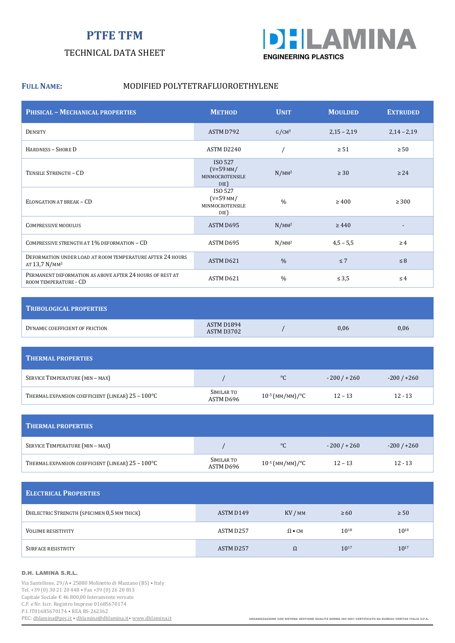# **PTFE TFM**

### TECHNICAL DATA SHEET



#### FULL NAME: MODIFIED POLYTETRAFLUOROETHYLENE

| <b>PHISICAL - MECHANICAL PROPERTIES</b>                                                | <b>METHOD</b>                                            | <b>UNIT</b>       | <b>MOULDED</b> | <b>EXTRUDED</b> |
|----------------------------------------------------------------------------------------|----------------------------------------------------------|-------------------|----------------|-----------------|
| <b>DENSITY</b>                                                                         | ASTM D792                                                | G/CM <sup>3</sup> | $2,15 - 2,19$  | $2,14 - 2,19$   |
| <b>HARDNESS - SHORE D</b>                                                              | ASTM D2240                                               |                   | $\geq 51$      | $\geq 50$       |
| TENSILE STRENGTH - CD                                                                  | ISO 527<br>$(V=59$ MM/<br><b>MINMOCROTENSILE</b><br>DIE) | $N/MM^2$          | $\geq 30$      | $\geq$ 24       |
| ELONGATION AT BREAK - CD                                                               | ISO 527<br>$(V=59$ MM/<br>MINMOCROTENSILE<br>DIE)        | $\frac{0}{0}$     | $\geq 400$     | $\geq 300$      |
| <b>COMPRESSIVE MODULUS</b>                                                             | ASTM D695                                                | $N/MM^2$          | $\geq 440$     |                 |
| COMPRESSIVE STRENGTH AT 1% DEFORMATION - CD                                            | ASTM D695                                                | $N/MM^2$          | $4,5 - 5,5$    | $\geq 4$        |
| DEFORMATION UNDER LOAD AT ROOM TEMPERATURE AFTER 24 HOURS<br>AT 13,7 N/MM <sup>2</sup> | ASTM D621                                                | $\frac{0}{0}$     | $\leq 7$       | $\leq 8$        |
| PERMANENT DEFORMATION AS ABOVE AFTER 24 HOURS OF REST AT<br>ROOM TEMPERATURE - CD      | ASTM D621                                                | $\frac{0}{0}$     | $\leq 3.5$     | $\leq 4$        |

| <b>TRIBOLOGICAL PROPERTIES</b>  |                          |      |      |
|---------------------------------|--------------------------|------|------|
| DYNAMIC COEFFICIENT OF FRICTION | ASTM D1894<br>ASTM D3702 | 0,06 | 0,06 |

| <b>THERMAL PROPERTIES</b>                         |                         |                      |             |             |
|---------------------------------------------------|-------------------------|----------------------|-------------|-------------|
| SERVICE TEMPERATURE (MIN - MAX)                   |                         | $^{\circ}C$          | $-200/+260$ | $-200/+260$ |
| THERMAL EXPANSION COEFFICIENT (LINEAR) 25 - 100°C | SIMILAR TO<br>ASTM D696 | $10^{-5}$ (MM/MM)/°C | $12 - 13$   | $12 - 13$   |

| <b>THERMAL PROPERTIES</b>                         |                         |                      |             |             |
|---------------------------------------------------|-------------------------|----------------------|-------------|-------------|
| SERVICE TEMPERATURE (MIN - MAX)                   |                         | $^{\circ}C$          | $-200/+260$ | $-200/+260$ |
| THERMAL EXPANSION COEFFICIENT (LINEAR) 25 - 100°C | SIMILAR TO<br>ASTM D696 | $10^{-5}$ (MM/MM)/°C | $12 - 13$   | $12 - 13$   |

| <b>ELECTRICAL PROPERTIES</b>                |           |                              |           |           |  |  |
|---------------------------------------------|-----------|------------------------------|-----------|-----------|--|--|
| DIELECTRIC STRENGTH (SPECIMEN 0,5 MM THICK) | ASTM D149 | KV / MM                      | $\geq 60$ | $\geq 50$ |  |  |
| <b>VOLUME RESISTIVITY</b>                   | ASTM D257 | $\Omega \bullet \textsf{CM}$ | 1018      | $10^{18}$ |  |  |
| <b>SURFACE RESISTIVITY</b>                  | ASTM D257 | $\Omega$                     | $10^{17}$ | 1017      |  |  |

#### D.H. LAMINA S.R.L.

Via Santellone, 29/A • 25080 Molinetto di Mazzano (BS) • Italy Tel. +39 (0) 30 21 20 448 • Fax +39 (0) 26 20 813 Capitale Sociale € 46.800,00 Interamente versato C.F. e Nr. Iscr. Registro Imprese 01685670174 P.I. IT01685670174 • REA BS-262362<br>PEC: <u>dhlamina@pec.it</u> • dhlamina@dhlamina.it • www.dhlamina.it